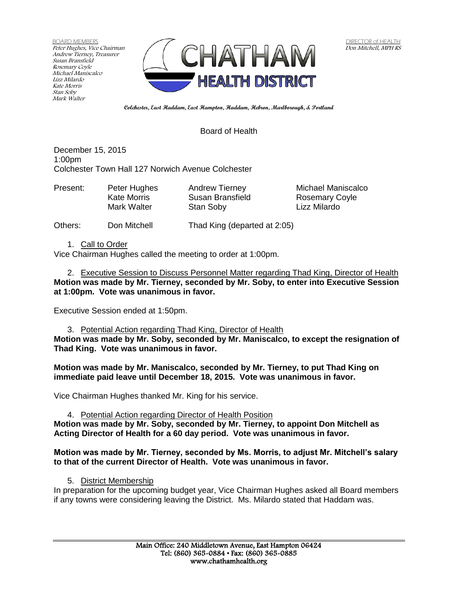BOARD MEMBERS Peter Hughes, Vice Chairman Andrew Tierney, Treasurer Susan Bransfield Rosemary Coyle Michael Maniscalco Lizz Milardo Kate Morris Stan Soby Mark Walter



**Colchester, East Haddam, East Hampton, Haddam, Hebron, Marlborough, & Portland**

### Board of Health

December 15, 2015 1:00pm Colchester Town Hall 127 Norwich Avenue Colchester

| Present: | Peter Hughes | <b>Andrew Tierney</b> | <b>Michael Mar</b> |
|----------|--------------|-----------------------|--------------------|
|          | Kate Morris  | Susan Bransfield      | <b>Rosemary C</b>  |
|          | Mark Walter  | Stan Soby             | Lizz Milardo       |
|          |              |                       |                    |

ael Maniscalco **mary Coyle** 

Others: Don Mitchell Thad King (departed at 2:05)

#### 1. Call to Order

Vice Chairman Hughes called the meeting to order at 1:00pm.

2. Executive Session to Discuss Personnel Matter regarding Thad King, Director of Health **Motion was made by Mr. Tierney, seconded by Mr. Soby, to enter into Executive Session at 1:00pm. Vote was unanimous in favor.** 

Executive Session ended at 1:50pm.

3. Potential Action regarding Thad King, Director of Health **Motion was made by Mr. Soby, seconded by Mr. Maniscalco, to except the resignation of Thad King. Vote was unanimous in favor.**

**Motion was made by Mr. Maniscalco, seconded by Mr. Tierney, to put Thad King on immediate paid leave until December 18, 2015. Vote was unanimous in favor.**

Vice Chairman Hughes thanked Mr. King for his service.

#### 4. Potential Action regarding Director of Health Position

**Motion was made by Mr. Soby, seconded by Mr. Tierney, to appoint Don Mitchell as Acting Director of Health for a 60 day period. Vote was unanimous in favor.**

#### **Motion was made by Mr. Tierney, seconded by Ms. Morris, to adjust Mr. Mitchell's salary to that of the current Director of Health. Vote was unanimous in favor.**

#### 5. District Membership

In preparation for the upcoming budget year, Vice Chairman Hughes asked all Board members if any towns were considering leaving the District. Ms. Milardo stated that Haddam was.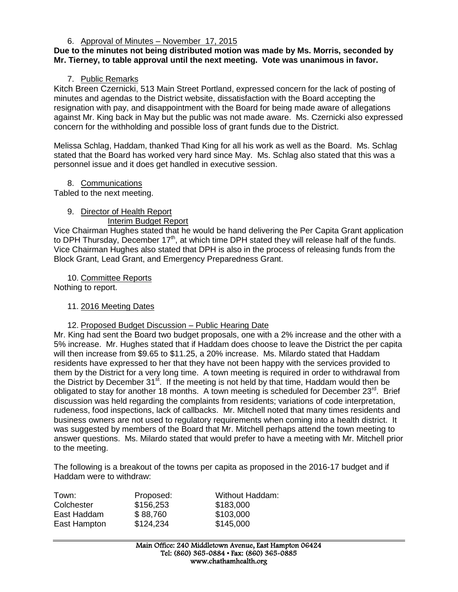## 6. Approval of Minutes – November 17, 2015

#### **Due to the minutes not being distributed motion was made by Ms. Morris, seconded by Mr. Tierney, to table approval until the next meeting. Vote was unanimous in favor.**

# 7. Public Remarks

Kitch Breen Czernicki, 513 Main Street Portland, expressed concern for the lack of posting of minutes and agendas to the District website, dissatisfaction with the Board accepting the resignation with pay, and disappointment with the Board for being made aware of allegations against Mr. King back in May but the public was not made aware. Ms. Czernicki also expressed concern for the withholding and possible loss of grant funds due to the District.

Melissa Schlag, Haddam, thanked Thad King for all his work as well as the Board. Ms. Schlag stated that the Board has worked very hard since May. Ms. Schlag also stated that this was a personnel issue and it does get handled in executive session.

## 8. Communications

Tabled to the next meeting.

## 9. Director of Health Report

## Interim Budget Report

Vice Chairman Hughes stated that he would be hand delivering the Per Capita Grant application to DPH Thursday, December 17<sup>th</sup>, at which time DPH stated they will release half of the funds. Vice Chairman Hughes also stated that DPH is also in the process of releasing funds from the Block Grant, Lead Grant, and Emergency Preparedness Grant.

10. Committee Reports

Nothing to report.

## 11. 2016 Meeting Dates

## 12. Proposed Budget Discussion – Public Hearing Date

Mr. King had sent the Board two budget proposals, one with a 2% increase and the other with a 5% increase. Mr. Hughes stated that if Haddam does choose to leave the District the per capita will then increase from \$9.65 to \$11.25, a 20% increase. Ms. Milardo stated that Haddam residents have expressed to her that they have not been happy with the services provided to them by the District for a very long time. A town meeting is required in order to withdrawal from the District by December  $31^{st}$ . If the meeting is not held by that time, Haddam would then be obligated to stay for another 18 months. A town meeting is scheduled for December 23<sup>rd</sup>. Brief discussion was held regarding the complaints from residents; variations of code interpretation, rudeness, food inspections, lack of callbacks. Mr. Mitchell noted that many times residents and business owners are not used to regulatory requirements when coming into a health district. It was suggested by members of the Board that Mr. Mitchell perhaps attend the town meeting to answer questions. Ms. Milardo stated that would prefer to have a meeting with Mr. Mitchell prior to the meeting.

The following is a breakout of the towns per capita as proposed in the 2016-17 budget and if Haddam were to withdraw:

| Town:<br>Colchester | Proposed:<br>\$156,253 | Without Haddam:<br>\$183,000 |
|---------------------|------------------------|------------------------------|
| East Haddam         | \$88,760               | \$103,000                    |
| East Hampton        | \$124,234              | \$145,000                    |